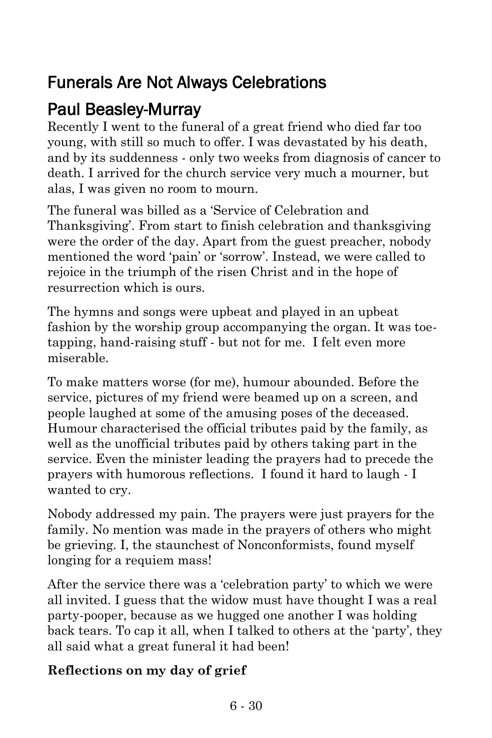## Funerals Are Not Always Celebrations

### Paul Beasley-Murray

Recently I went to the funeral of a great friend who died far too young, with still so much to offer. I was devastated by his death, and by its suddenness - only two weeks from diagnosis of cancer to death. I arrived for the church service very much a mourner, but alas, I was given no room to mourn.

The funeral was billed as a 'Service of Celebration and Thanksgiving'. From start to finish celebration and thanksgiving were the order of the day. Apart from the guest preacher, nobody mentioned the word 'pain' or 'sorrow'. Instead, we were called to rejoice in the triumph of the risen Christ and in the hope of resurrection which is ours.

The hymns and songs were upbeat and played in an upbeat fashion by the worship group accompanying the organ. It was toetapping, hand-raising stuff - but not for me. I felt even more miserable.

To make matters worse (for me), humour abounded. Before the service, pictures of my friend were beamed up on a screen, and people laughed at some of the amusing poses of the deceased. Humour characterised the official tributes paid by the family, as well as the unofficial tributes paid by others taking part in the service. Even the minister leading the prayers had to precede the prayers with humorous reflections. I found it hard to laugh - I wanted to cry.

Nobody addressed my pain. The prayers were just prayers for the family. No mention was made in the prayers of others who might be grieving. I, the staunchest of Nonconformists, found myself longing for a requiem mass!

After the service there was a 'celebration party' to which we were all invited. I guess that the widow must have thought I was a real party-pooper, because as we hugged one another I was holding back tears. To cap it all, when I talked to others at the 'party', they all said what a great funeral it had been!

### **Reflections on my day of grief**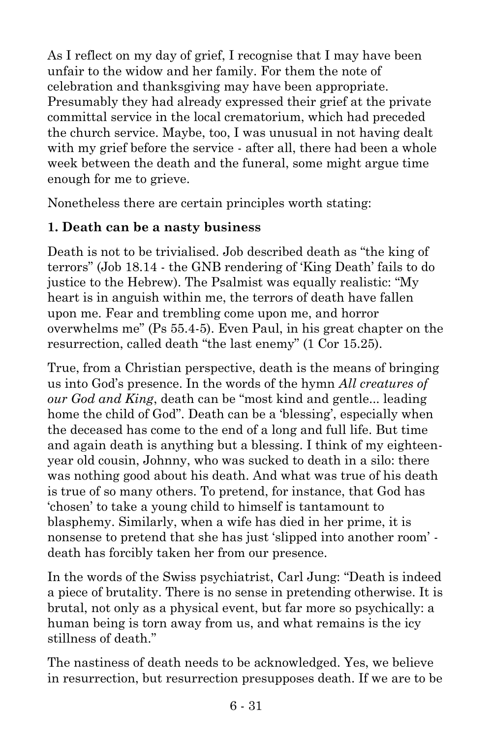As I reflect on my day of grief, I recognise that I may have been unfair to the widow and her family. For them the note of celebration and thanksgiving may have been appropriate. Presumably they had already expressed their grief at the private committal service in the local crematorium, which had preceded the church service. Maybe, too, I was unusual in not having dealt with my grief before the service - after all, there had been a whole week between the death and the funeral, some might argue time enough for me to grieve.

Nonetheless there are certain principles worth stating:

### **1. Death can be a nasty business**

Death is not to be trivialised. Job described death as "the king of terrors" (Job 18.14 - the GNB rendering of 'King Death' fails to do justice to the Hebrew). The Psalmist was equally realistic: "My heart is in anguish within me, the terrors of death have fallen upon me. Fear and trembling come upon me, and horror overwhelms me" (Ps 55.4-5). Even Paul, in his great chapter on the resurrection, called death "the last enemy" (1 Cor 15.25).

True, from a Christian perspective, death is the means of bringing us into God's presence. In the words of the hymn *All creatures of our God and King*, death can be "most kind and gentle... leading home the child of God". Death can be a 'blessing', especially when the deceased has come to the end of a long and full life. But time and again death is anything but a blessing. I think of my eighteenyear old cousin, Johnny, who was sucked to death in a silo: there was nothing good about his death. And what was true of his death is true of so many others. To pretend, for instance, that God has 'chosen' to take a young child to himself is tantamount to blasphemy. Similarly, when a wife has died in her prime, it is nonsense to pretend that she has just 'slipped into another room' death has forcibly taken her from our presence.

In the words of the Swiss psychiatrist, Carl Jung: "Death is indeed a piece of brutality. There is no sense in pretending otherwise. It is brutal, not only as a physical event, but far more so psychically: a human being is torn away from us, and what remains is the icy stillness of death."

The nastiness of death needs to be acknowledged. Yes, we believe in resurrection, but resurrection presupposes death. If we are to be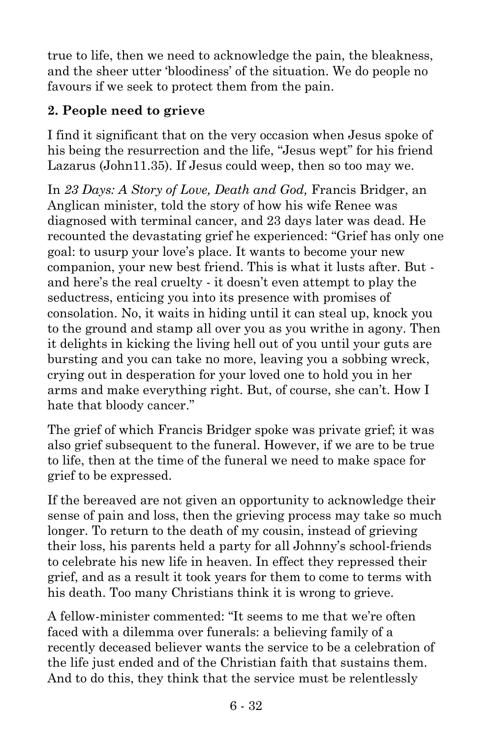true to life, then we need to acknowledge the pain, the bleakness, and the sheer utter 'bloodiness' of the situation. We do people no favours if we seek to protect them from the pain.

### **2. People need to grieve**

I find it significant that on the very occasion when Jesus spoke of his being the resurrection and the life, "Jesus wept" for his friend Lazarus (John11.35). If Jesus could weep, then so too may we.

In *23 Days: A Story of Love, Death and God,* Francis Bridger, an Anglican minister, told the story of how his wife Renee was diagnosed with terminal cancer, and 23 days later was dead. He recounted the devastating grief he experienced: "Grief has only one goal: to usurp your love's place. It wants to become your new companion, your new best friend. This is what it lusts after. But and here's the real cruelty - it doesn't even attempt to play the seductress, enticing you into its presence with promises of consolation. No, it waits in hiding until it can steal up, knock you to the ground and stamp all over you as you writhe in agony. Then it delights in kicking the living hell out of you until your guts are bursting and you can take no more, leaving you a sobbing wreck, crying out in desperation for your loved one to hold you in her arms and make everything right. But, of course, she can't. How I hate that bloody cancer."

The grief of which Francis Bridger spoke was private grief; it was also grief subsequent to the funeral. However, if we are to be true to life, then at the time of the funeral we need to make space for grief to be expressed.

If the bereaved are not given an opportunity to acknowledge their sense of pain and loss, then the grieving process may take so much longer. To return to the death of my cousin, instead of grieving their loss, his parents held a party for all Johnny's school-friends to celebrate his new life in heaven. In effect they repressed their grief, and as a result it took years for them to come to terms with his death. Too many Christians think it is wrong to grieve.

A fellow-minister commented: "It seems to me that we're often faced with a dilemma over funerals: a believing family of a recently deceased believer wants the service to be a celebration of the life just ended and of the Christian faith that sustains them. And to do this, they think that the service must be relentlessly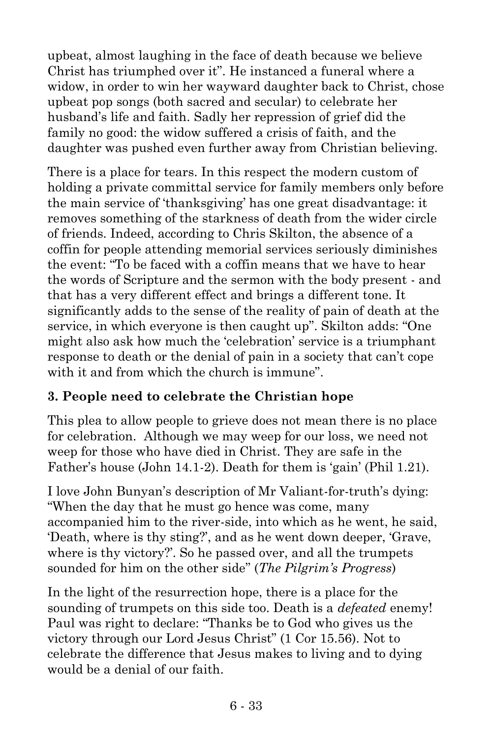upbeat, almost laughing in the face of death because we believe Christ has triumphed over it". He instanced a funeral where a widow, in order to win her wayward daughter back to Christ, chose upbeat pop songs (both sacred and secular) to celebrate her husband's life and faith. Sadly her repression of grief did the family no good: the widow suffered a crisis of faith, and the daughter was pushed even further away from Christian believing.

There is a place for tears. In this respect the modern custom of holding a private committal service for family members only before the main service of 'thanksgiving' has one great disadvantage: it removes something of the starkness of death from the wider circle of friends. Indeed, according to Chris Skilton, the absence of a coffin for people attending memorial services seriously diminishes the event: "To be faced with a coffin means that we have to hear the words of Scripture and the sermon with the body present - and that has a very different effect and brings a different tone. It significantly adds to the sense of the reality of pain of death at the service, in which everyone is then caught up". Skilton adds: "One might also ask how much the 'celebration' service is a triumphant response to death or the denial of pain in a society that can't cope with it and from which the church is immune".

### **3. People need to celebrate the Christian hope**

This plea to allow people to grieve does not mean there is no place for celebration. Although we may weep for our loss, we need not weep for those who have died in Christ. They are safe in the Father's house (John 14.1-2). Death for them is 'gain' (Phil 1.21).

I love John Bunyan's description of Mr Valiant-for-truth's dying: "When the day that he must go hence was come, many accompanied him to the river-side, into which as he went, he said, 'Death, where is thy sting?', and as he went down deeper, 'Grave, where is thy victory?'. So he passed over, and all the trumpets sounded for him on the other side" (*The Pilgrim's Progress*)

In the light of the resurrection hope, there is a place for the sounding of trumpets on this side too. Death is a *defeated* enemy! Paul was right to declare: "Thanks be to God who gives us the victory through our Lord Jesus Christ" (1 Cor 15.56). Not to celebrate the difference that Jesus makes to living and to dying would be a denial of our faith.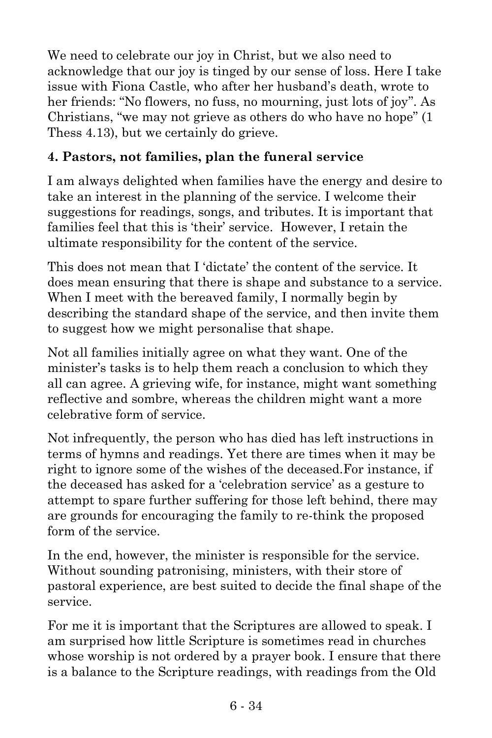We need to celebrate our joy in Christ, but we also need to acknowledge that our joy is tinged by our sense of loss. Here I take issue with Fiona Castle, who after her husband's death, wrote to her friends: "No flowers, no fuss, no mourning, just lots of joy". As Christians, "we may not grieve as others do who have no hope" (1 Thess 4.13), but we certainly do grieve.

#### **4. Pastors, not families, plan the funeral service**

I am always delighted when families have the energy and desire to take an interest in the planning of the service. I welcome their suggestions for readings, songs, and tributes. It is important that families feel that this is 'their' service. However, I retain the ultimate responsibility for the content of the service.

This does not mean that I 'dictate' the content of the service. It does mean ensuring that there is shape and substance to a service. When I meet with the bereaved family, I normally begin by describing the standard shape of the service, and then invite them to suggest how we might personalise that shape.

Not all families initially agree on what they want. One of the minister's tasks is to help them reach a conclusion to which they all can agree. A grieving wife, for instance, might want something reflective and sombre, whereas the children might want a more celebrative form of service.

Not infrequently, the person who has died has left instructions in terms of hymns and readings. Yet there are times when it may be right to ignore some of the wishes of the deceased.For instance, if the deceased has asked for a 'celebration service' as a gesture to attempt to spare further suffering for those left behind, there may are grounds for encouraging the family to re-think the proposed form of the service.

In the end, however, the minister is responsible for the service. Without sounding patronising, ministers, with their store of pastoral experience, are best suited to decide the final shape of the service.

For me it is important that the Scriptures are allowed to speak. I am surprised how little Scripture is sometimes read in churches whose worship is not ordered by a prayer book. I ensure that there is a balance to the Scripture readings, with readings from the Old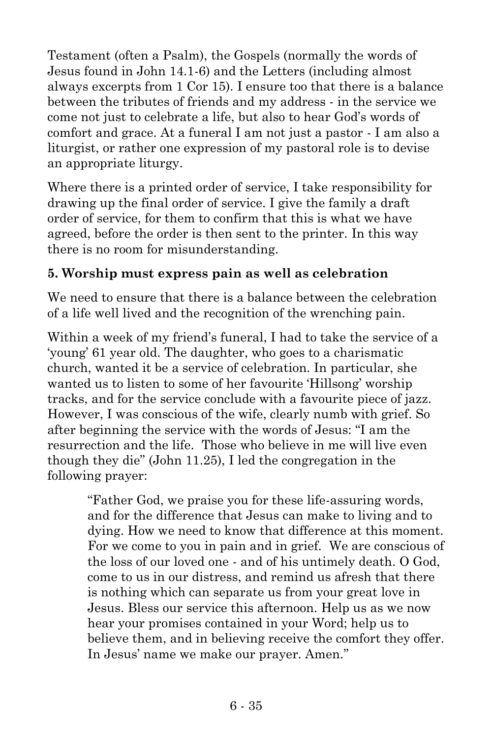Testament (often a Psalm), the Gospels (normally the words of Jesus found in John 14.1-6) and the Letters (including almost always excerpts from 1 Cor 15). I ensure too that there is a balance between the tributes of friends and my address - in the service we come not just to celebrate a life, but also to hear God's words of comfort and grace. At a funeral I am not just a pastor - I am also a liturgist, or rather one expression of my pastoral role is to devise an appropriate liturgy.

Where there is a printed order of service, I take responsibility for drawing up the final order of service. I give the family a draft order of service, for them to confirm that this is what we have agreed, before the order is then sent to the printer. In this way there is no room for misunderstanding.

#### **5. Worship must express pain as well as celebration**

We need to ensure that there is a balance between the celebration of a life well lived and the recognition of the wrenching pain.

Within a week of my friend's funeral, I had to take the service of a 'young' 61 year old. The daughter, who goes to a charismatic church, wanted it be a service of celebration. In particular, she wanted us to listen to some of her favourite 'Hillsong' worship tracks, and for the service conclude with a favourite piece of jazz. However, I was conscious of the wife, clearly numb with grief. So after beginning the service with the words of Jesus: "I am the resurrection and the life. Those who believe in me will live even though they die" (John 11.25), I led the congregation in the following prayer:

> "Father God, we praise you for these life-assuring words, and for the difference that Jesus can make to living and to dying. How we need to know that difference at this moment. For we come to you in pain and in grief. We are conscious of the loss of our loved one - and of his untimely death. O God, come to us in our distress, and remind us afresh that there is nothing which can separate us from your great love in Jesus. Bless our service this afternoon. Help us as we now hear your promises contained in your Word; help us to believe them, and in believing receive the comfort they offer. In Jesus' name we make our prayer. Amen."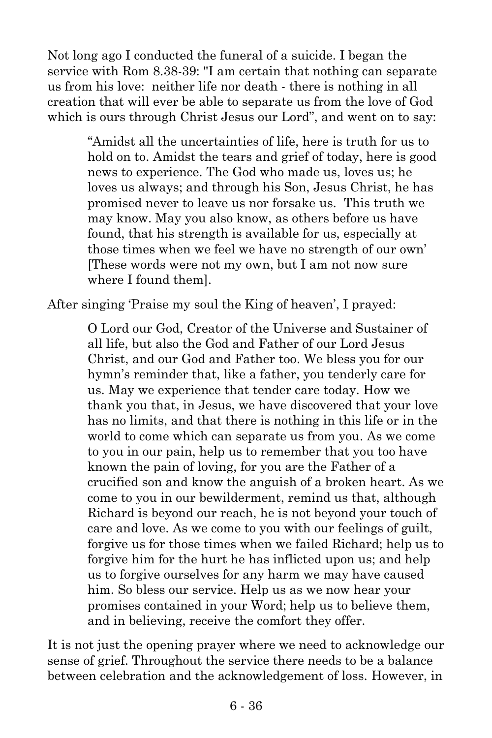Not long ago I conducted the funeral of a suicide. I began the service with Rom 8.38-39: "I am certain that nothing can separate us from his love: neither life nor death - there is nothing in all creation that will ever be able to separate us from the love of God which is ours through Christ Jesus our Lord", and went on to say:

> "Amidst all the uncertainties of life, here is truth for us to hold on to. Amidst the tears and grief of today, here is good news to experience. The God who made us, loves us; he loves us always; and through his Son, Jesus Christ, he has promised never to leave us nor forsake us. This truth we may know. May you also know, as others before us have found, that his strength is available for us, especially at those times when we feel we have no strength of our own' [These words were not my own, but I am not now sure where I found them].

After singing 'Praise my soul the King of heaven', I prayed:

O Lord our God, Creator of the Universe and Sustainer of all life, but also the God and Father of our Lord Jesus Christ, and our God and Father too. We bless you for our hymn's reminder that, like a father, you tenderly care for us. May we experience that tender care today. How we thank you that, in Jesus, we have discovered that your love has no limits, and that there is nothing in this life or in the world to come which can separate us from you. As we come to you in our pain, help us to remember that you too have known the pain of loving, for you are the Father of a crucified son and know the anguish of a broken heart. As we come to you in our bewilderment, remind us that, although Richard is beyond our reach, he is not beyond your touch of care and love. As we come to you with our feelings of guilt, forgive us for those times when we failed Richard; help us to forgive him for the hurt he has inflicted upon us; and help us to forgive ourselves for any harm we may have caused him. So bless our service. Help us as we now hear your promises contained in your Word; help us to believe them, and in believing, receive the comfort they offer.

It is not just the opening prayer where we need to acknowledge our sense of grief. Throughout the service there needs to be a balance between celebration and the acknowledgement of loss. However, in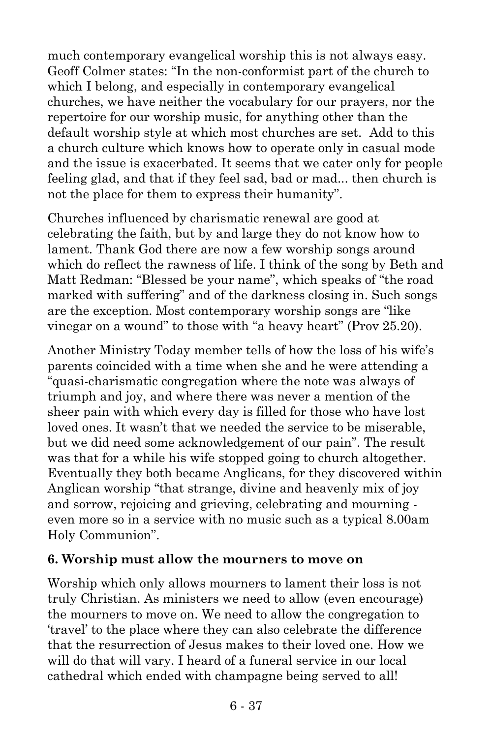much contemporary evangelical worship this is not always easy. Geoff Colmer states: "In the non-conformist part of the church to which I belong, and especially in contemporary evangelical churches, we have neither the vocabulary for our prayers, nor the repertoire for our worship music, for anything other than the default worship style at which most churches are set. Add to this a church culture which knows how to operate only in casual mode and the issue is exacerbated. It seems that we cater only for people feeling glad, and that if they feel sad, bad or mad... then church is not the place for them to express their humanity".

Churches influenced by charismatic renewal are good at celebrating the faith, but by and large they do not know how to lament. Thank God there are now a few worship songs around which do reflect the rawness of life. I think of the song by Beth and Matt Redman: "Blessed be your name", which speaks of "the road marked with suffering" and of the darkness closing in. Such songs are the exception. Most contemporary worship songs are "like vinegar on a wound" to those with "a heavy heart" (Prov 25.20).

Another Ministry Today member tells of how the loss of his wife's parents coincided with a time when she and he were attending a "quasi-charismatic congregation where the note was always of triumph and joy, and where there was never a mention of the sheer pain with which every day is filled for those who have lost loved ones. It wasn't that we needed the service to be miserable, but we did need some acknowledgement of our pain". The result was that for a while his wife stopped going to church altogether. Eventually they both became Anglicans, for they discovered within Anglican worship "that strange, divine and heavenly mix of joy and sorrow, rejoicing and grieving, celebrating and mourning even more so in a service with no music such as a typical 8.00am Holy Communion".

#### **6. Worship must allow the mourners to move on**

Worship which only allows mourners to lament their loss is not truly Christian. As ministers we need to allow (even encourage) the mourners to move on. We need to allow the congregation to 'travel' to the place where they can also celebrate the difference that the resurrection of Jesus makes to their loved one. How we will do that will vary. I heard of a funeral service in our local cathedral which ended with champagne being served to all!